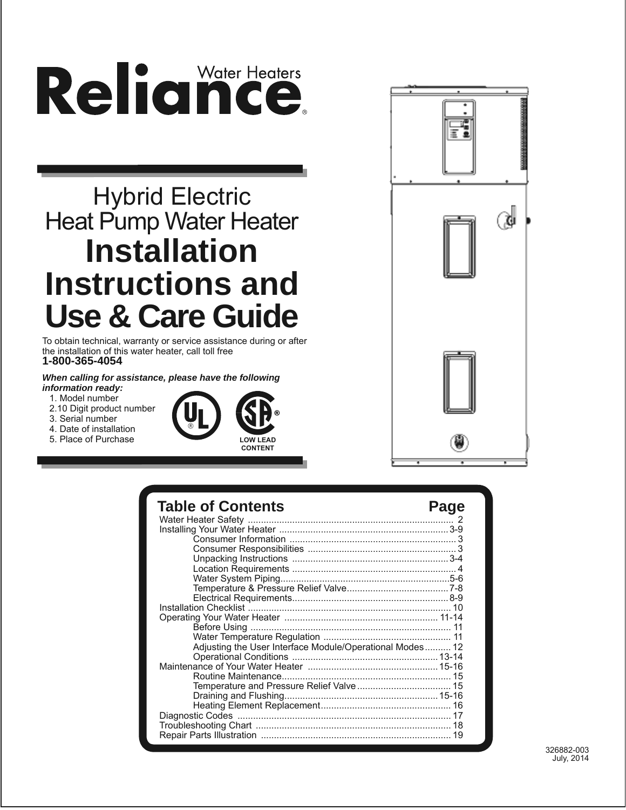# Reliance

# Hybrid Electric **Heat Pump Water Heater Installation Instructions and Use & Care Guide**

To obtain technical, warranty or service assistance during or after the installation of this water heater, call toll free **1-800-365-4054**

*When calling for assistance, please have the following information ready:*

- 1. Model number
- 2.10 Digit product number
- 3. Serial number
- 4. Date of installation
- 5. Place of Purchase





### **Table of Contents Page**

| Adjusting the User Interface Module/Operational Modes 12 |    |
|----------------------------------------------------------|----|
|                                                          |    |
|                                                          |    |
|                                                          |    |
|                                                          |    |
|                                                          |    |
|                                                          |    |
|                                                          |    |
|                                                          |    |
|                                                          | 19 |
|                                                          |    |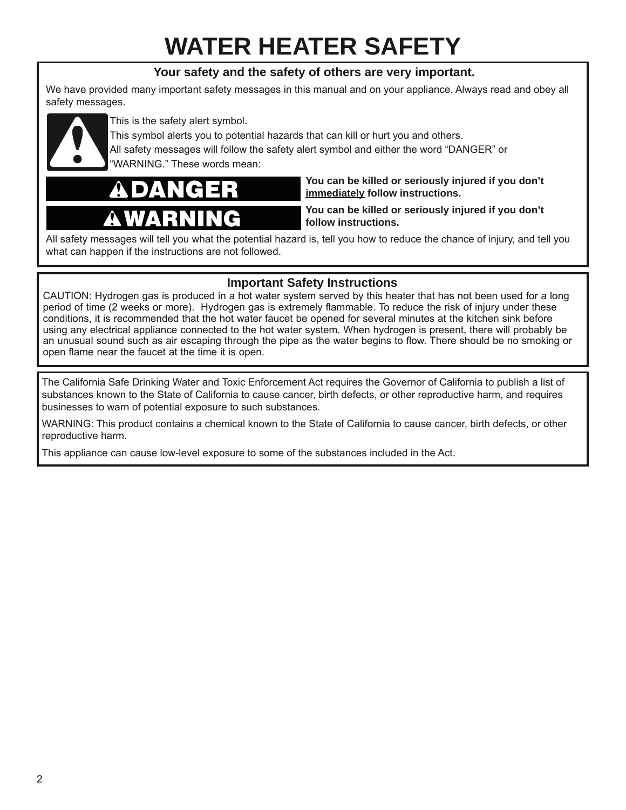# **WATER HEATER SAFETY**

#### **Your safety and the safety of others are very important.**

We have provided many important safety messages in this manual and on your appliance. Always read and obey all safety messages.



This is the safety alert symbol.

This symbol alerts you to potential hazards that can kill or hurt you and others.

All safety messages will follow the safety alert symbol and either the word "DANGER" or "WARNING." These words mean:

**You can be killed or seriously injured if you don't immediately follow instructions.**

**You can be killed or seriously injured if you don't follow instructions.**

All safety messages will tell you what the potential hazard is, tell you how to reduce the chance of injury, and tell you what can happen if the instructions are not followed.

#### **Important Safety Instructions**

CAUTION: Hydrogen gas is produced in a hot water system served by this heater that has not been used for a long period of time (2 weeks or more). Hydrogen gas is extremely flammable. To reduce the risk of injury under these conditions, it is recommended that the hot water faucet be opened for several minutes at the kitchen sink before using any electrical appliance connected to the hot water system. When hydrogen is present, there will probably be an unusual sound such as air escaping through the pipe as the water begins to flow. There should be no smoking or open flame near the faucet at the time it is open.

The California Safe Drinking Water and Toxic Enforcement Act requires the Governor of California to publish a list of substances known to the State of California to cause cancer, birth defects, or other reproductive harm, and requires businesses to warn of potential exposure to such substances.

WARNING: This product contains a chemical known to the State of California to cause cancer, birth defects, or other reproductive harm.

This appliance can cause low-level exposure to some of the substances included in the Act.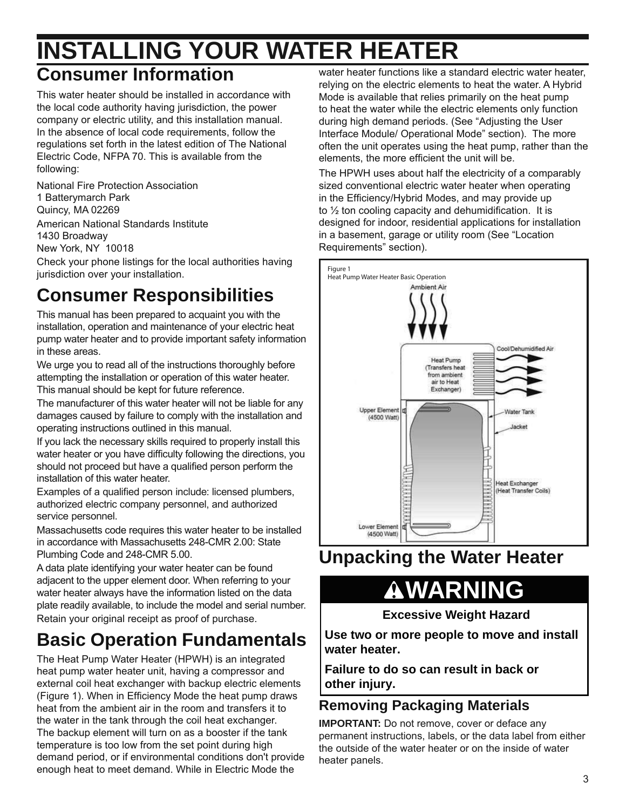### **INSTALLING YOUR WATER HEATER Consumer Information**

#### This water heater should be installed in accordance with the local code authority having jurisdiction, the power company or electric utility, and this installation manual. In the absence of local code requirements, follow the regulations set forth in the latest edition of The National Electric Code, NFPA 70. This is available from the following:

National Fire Protection Association 1 Batterymarch Park Quincy, MA 02269 American National Standards Institute 1430 Broadway New York, NY 10018

Check your phone listings for the local authorities having jurisdiction over your installation.

# **Consumer Responsibilities**

This manual has been prepared to acquaint you with the installation, operation and maintenance of your electric heat pump water heater and to provide important safety information in these areas.

We urge you to read all of the instructions thoroughly before attempting the installation or operation of this water heater. This manual should be kept for future reference.

The manufacturer of this water heater will not be liable for any damages caused by failure to comply with the installation and operating instructions outlined in this manual.

If you lack the necessary skills required to properly install this water heater or you have difficulty following the directions, you should not proceed but have a qualified person perform the installation of this water heater.

Examples of a qualified person include: licensed plumbers, authorized electric company personnel, and authorized service personnel.

Massachusetts code requires this water heater to be installed in accordance with Massachusetts 248-CMR 2.00: State Plumbing Code and 248-CMR 5.00.

A data plate identifying your water heater can be found adjacent to the upper element door. When referring to your water heater always have the information listed on the data plate readily available, to include the model and serial number. Retain your original receipt as proof of purchase.

# **Basic Operation Fundamentals**

The Heat Pump Water Heater (HPWH) is an integrated heat pump water heater unit, having a compressor and external coil heat exchanger with backup electric elements (Figure 1). When in Efficiency Mode the heat pump draws heat from the ambient air in the room and transfers it to the water in the tank through the coil heat exchanger. The backup element will turn on as a booster if the tank temperature is too low from the set point during high demand period, or if environmental conditions don't provide enough heat to meet demand. While in Electric Mode the

water heater functions like a standard electric water heater, relying on the electric elements to heat the water. A Hybrid Mode is available that relies primarily on the heat pump to heat the water while the electric elements only function during high demand periods. (See "Adjusting the User Interface Module/ Operational Mode" section). The more often the unit operates using the heat pump, rather than the elements, the more efficient the unit will be.

The HPWH uses about half the electricity of a comparably sized conventional electric water heater when operating in the Efficiency/Hybrid Modes, and may provide up to  $\frac{1}{2}$  ton cooling capacity and dehumidification. It is designed for indoor, residential applications for installation in a basement, garage or utility room (See "Location Requirements" section).



### **Unpacking the Water Heater**

# **WARNING**

**Excessive Weight Hazard**

**Use two or more people to move and install water heater.**

**Failure to do so can result in back or other injury.**

#### **Removing Packaging Materials**

**IMPORTANT:** Do not remove, cover or deface any permanent instructions, labels, or the data label from either the outside of the water heater or on the inside of water heater panels.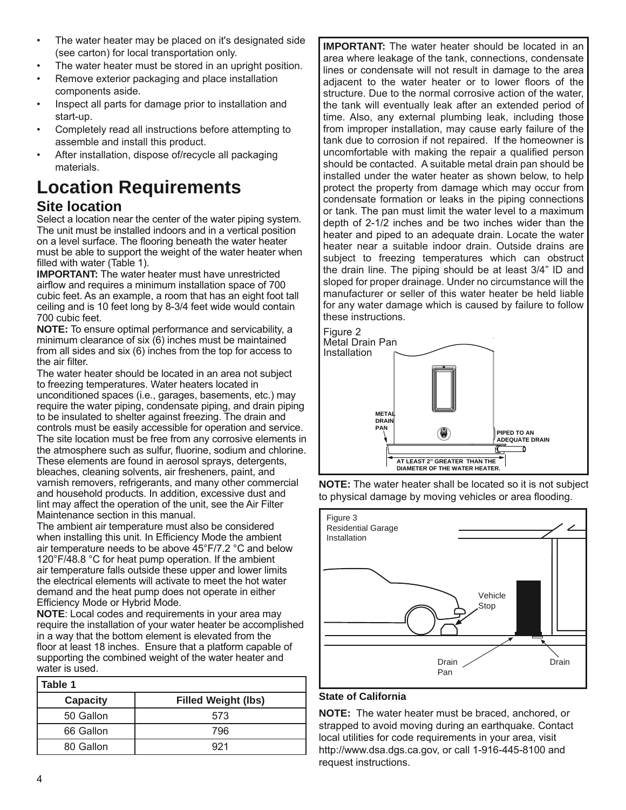- The water heater may be placed on it's designated side (see carton) for local transportation only.
- The water heater must be stored in an upright position.
- Remove exterior packaging and place installation components aside.
- Inspect all parts for damage prior to installation and start-up.
- Completely read all instructions before attempting to assemble and install this product.
- After installation, dispose of/recycle all packaging materials.

#### **Location Requirements Site location**

Select a location near the center of the water piping system. The unit must be installed indoors and in a vertical position on a level surface. The flooring beneath the water heater must be able to support the weight of the water heater when filled with water (Table 1).

**IMPORTANT:** The water heater must have unrestricted airflow and requires a minimum installation space of 700 cubic feet. As an example, a room that has an eight foot tall ceiling and is 10 feet long by 8-3/4 feet wide would contain 700 cubic feet.

**NOTE:** To ensure optimal performance and servicability, a minimum clearance of six (6) inches must be maintained from all sides and six (6) inches from the top for access to the air filter.

The water heater should be located in an area not subject to freezing temperatures. Water heaters located in unconditioned spaces (i.e., garages, basements, etc.) may require the water piping, condensate piping, and drain piping to be insulated to shelter against freezing. The drain and controls must be easily accessible for operation and service. The site location must be free from any corrosive elements in the atmosphere such as sulfur, fluorine, sodium and chlorine. These elements are found in aerosol sprays, detergents, bleaches, cleaning solvents, air fresheners, paint, and varnish removers, refrigerants, and many other commercial and household products. In addition, excessive dust and lint may affect the operation of the unit, see the Air Filter Maintenance section in this manual.

The ambient air temperature must also be considered when installing this unit. In Efficiency Mode the ambient air temperature needs to be above 45°F/7.2 °C and below 120°F/48.8 °C for heat pump operation. If the ambient air temperature falls outside these upper and lower limits the electrical elements will activate to meet the hot water demand and the heat pump does not operate in either Efficiency Mode or Hybrid Mode.

**NOTE**: Local codes and requirements in your area may require the installation of your water heater be accomplished in a way that the bottom element is elevated from the floor at least 18 inches. Ensure that a platform capable of supporting the combined weight of the water heater and water is used.

| Table 1         |                            |  |
|-----------------|----------------------------|--|
| <b>Capacity</b> | <b>Filled Weight (lbs)</b> |  |
| 50 Gallon       | 573                        |  |
| 66 Gallon       | 796                        |  |
| 80 Gallon       | 921                        |  |

**IMPORTANT:** The water heater should be located in an area where leakage of the tank, connections, condensate lines or condensate will not result in damage to the area adjacent to the water heater or to lower floors of the structure. Due to the normal corrosive action of the water, the tank will eventually leak after an extended period of time. Also, any external plumbing leak, including those from improper installation, may cause early failure of the tank due to corrosion if not repaired. If the homeowner is uncomfortable with making the repair a qualified person should be contacted. A suitable metal drain pan should be installed under the water heater as shown below, to help protect the property from damage which may occur from condensate formation or leaks in the piping connections or tank. The pan must limit the water level to a maximum depth of 2-1/2 inches and be two inches wider than the heater and piped to an adequate drain. Locate the water heater near a suitable indoor drain. Outside drains are subject to freezing temperatures which can obstruct the drain line. The piping should be at least 3/4" ID and sloped for proper drainage. Under no circumstance will the manufacturer or seller of this water heater be held liable for any water damage which is caused by failure to follow these instructions.



**NOTE:** The water heater shall be located so it is not subject to physical damage by moving vehicles or area flooding.



#### **State of California**

**NOTE:** The water heater must be braced, anchored, or strapped to avoid moving during an earthquake. Contact local utilities for code requirements in your area, visit http://www.dsa.dgs.ca.gov, or call 1-916-445-8100 and request instructions.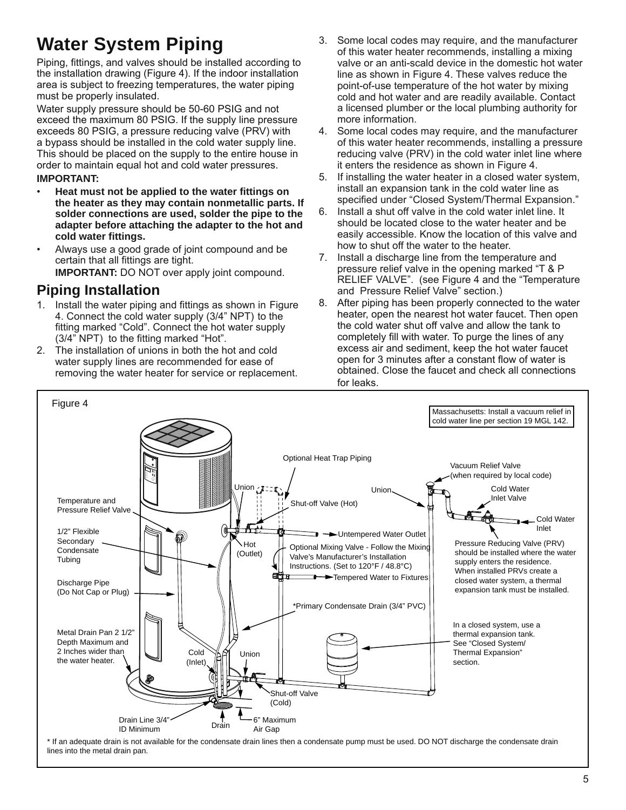# **Water System Piping**

Piping, fittings, and valves should be installed according to the installation drawing (Figure 4). If the indoor installation area is subject to freezing temperatures, the water piping must be properly insulated.

Water supply pressure should be 50-60 PSIG and not exceed the maximum 80 PSIG. If the supply line pressure exceeds 80 PSIG, a pressure reducing valve (PRV) with a bypass should be installed in the cold water supply line. This should be placed on the supply to the entire house in order to maintain equal hot and cold water pressures.

#### **IMPORTANT:**

- **Heat must not be applied to the water fittings on the heater as they may contain nonmetallic parts. If solder connections are used, solder the pipe to the adapter before attaching the adapter to the hot and cold water fittings.**
- Always use a good grade of joint compound and be certain that all fittings are tight. **IMPORTANT:** DO NOT over apply joint compound.

#### **Piping Installation**

- 1. Install the water piping and fittings as shown in Figure 4. Connect the cold water supply (3/4" NPT) to the fitting marked "Cold". Connect the hot water supply (3/4" NPT) to the fitting marked "Hot".
- 2. The installation of unions in both the hot and cold water supply lines are recommended for ease of removing the water heater for service or replacement.
- 3. Some local codes may require, and the manufacturer of this water heater recommends, installing a mixing valve or an anti-scald device in the domestic hot water line as shown in Figure 4. These valves reduce the point-of-use temperature of the hot water by mixing cold and hot water and are readily available. Contact a licensed plumber or the local plumbing authority for more information.
- 4. Some local codes may require, and the manufacturer of this water heater recommends, installing a pressure reducing valve (PRV) in the cold water inlet line where it enters the residence as shown in Figure 4.
- 5. If installing the water heater in a closed water system, install an expansion tank in the cold water line as specified under "Closed System/Thermal Expansion."
- 6. Install a shut off valve in the cold water inlet line. It should be located close to the water heater and be easily accessible. Know the location of this valve and how to shut off the water to the heater.
- 7. Install a discharge line from the temperature and pressure relief valve in the opening marked "T & P RELIEF VALVE". (see Figure 4 and the "Temperature and Pressure Relief Valve" section.)
- 8. After piping has been properly connected to the water heater, open the nearest hot water faucet. Then open the cold water shut off valve and allow the tank to completely fill with water. To purge the lines of any excess air and sediment, keep the hot water faucet open for 3 minutes after a constant flow of water is obtained. Close the faucet and check all connections for leaks.



\* If an adequate drain is not available for the condensate drain lines then a condensate pump must be used. DO NOT discharge the condensate drain lines into the metal drain pan.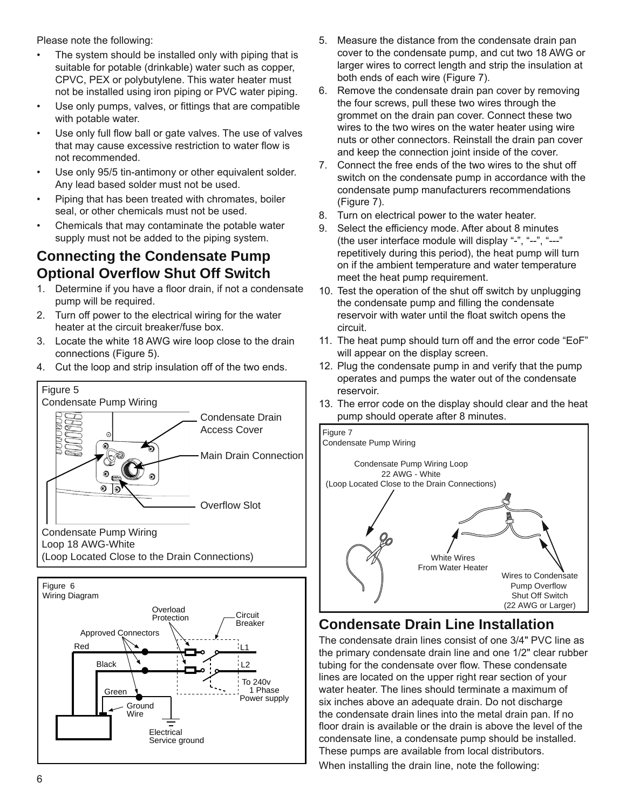Please note the following:

- The system should be installed only with piping that is suitable for potable (drinkable) water such as copper, CPVC, PEX or polybutylene. This water heater must not be installed using iron piping or PVC water piping.
- Use only pumps, valves, or fittings that are compatible with potable water.
- Use only full flow ball or gate valves. The use of valves that may cause excessive restriction to water flow is not recommended.
- Use only 95/5 tin-antimony or other equivalent solder. Any lead based solder must not be used.
- Piping that has been treated with chromates, boiler seal, or other chemicals must not be used.
- Chemicals that may contaminate the potable water supply must not be added to the piping system.

#### **Connecting the Condensate Pump Optional Overflow Shut Off Switch**

- 1. Determine if you have a floor drain, if not a condensate pump will be required.
- 2. Turn off power to the electrical wiring for the water heater at the circuit breaker/fuse box.
- 3. Locate the white 18 AWG wire loop close to the drain connections (Figure 5).
- 4. Cut the loop and strip insulation off of the two ends.







- 5. Measure the distance from the condensate drain pan cover to the condensate pump, and cut two 18 AWG or larger wires to correct length and strip the insulation at both ends of each wire (Figure 7).
- 6. Remove the condensate drain pan cover by removing the four screws, pull these two wires through the grommet on the drain pan cover. Connect these two wires to the two wires on the water heater using wire nuts or other connectors. Reinstall the drain pan cover and keep the connection joint inside of the cover.
- 7. Connect the free ends of the two wires to the shut off switch on the condensate pump in accordance with the condensate pump manufacturers recommendations (Figure 7).
- 8. Turn on electrical power to the water heater.
- 9. Select the efficiency mode. After about 8 minutes (the user interface module will display "-", "--", "---" repetitively during this period), the heat pump will turn on if the ambient temperature and water temperature meet the heat pump requirement.
- 10. Test the operation of the shut off switch by unplugging the condensate pump and filling the condensate reservoir with water until the float switch opens the circuit.
- 11. The heat pump should turn off and the error code "EoF" will appear on the display screen.
- 12. Plug the condensate pump in and verify that the pump operates and pumps the water out of the condensate reservoir.
- 13. The error code on the display should clear and the heat pump should operate after 8 minutes.



#### **Condensate Drain Line Installation**

The condensate drain lines consist of one 3/4" PVC line as the primary condensate drain line and one 1/2" clear rubber tubing for the condensate over flow. These condensate lines are located on the upper right rear section of your water heater. The lines should terminate a maximum of six inches above an adequate drain. Do not discharge the condensate drain lines into the metal drain pan. If no floor drain is available or the drain is above the level of the condensate line, a condensate pump should be installed. These pumps are available from local distributors. When installing the drain line, note the following: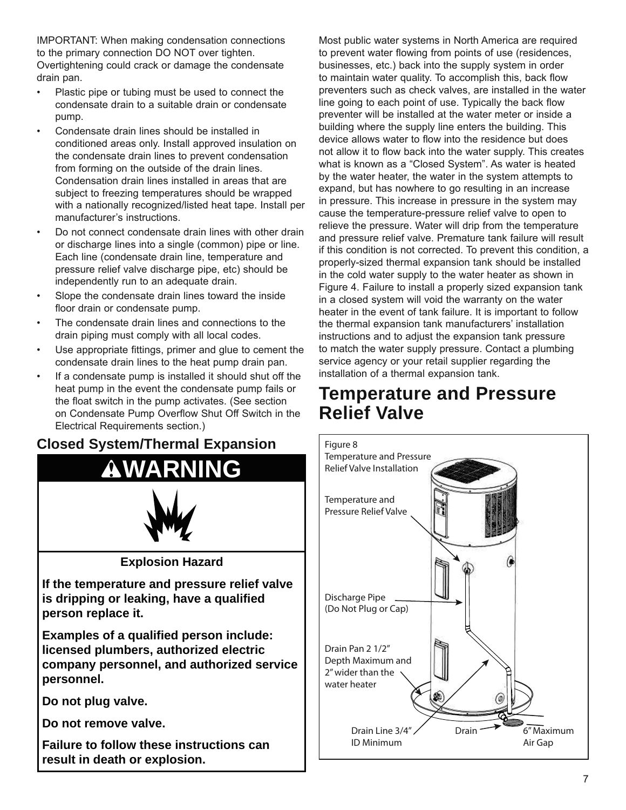IMPORTANT: When making condensation connections to the primary connection DO NOT over tighten. Overtightening could crack or damage the condensate drain pan.

- Plastic pipe or tubing must be used to connect the condensate drain to a suitable drain or condensate pump.
- Condensate drain lines should be installed in conditioned areas only. Install approved insulation on the condensate drain lines to prevent condensation from forming on the outside of the drain lines. Condensation drain lines installed in areas that are subject to freezing temperatures should be wrapped with a nationally recognized/listed heat tape. Install per manufacturer's instructions.
- Do not connect condensate drain lines with other drain or discharge lines into a single (common) pipe or line. Each line (condensate drain line, temperature and pressure relief valve discharge pipe, etc) should be independently run to an adequate drain.
- Slope the condensate drain lines toward the inside floor drain or condensate pump.
- The condensate drain lines and connections to the drain piping must comply with all local codes.
- Use appropriate fittings, primer and glue to cement the condensate drain lines to the heat pump drain pan.
- If a condensate pump is installed it should shut off the heat pump in the event the condensate pump fails or the float switch in the pump activates. (See section on Condensate Pump Overflow Shut Off Switch in the Electrical Requirements section.)

#### **Closed System/Thermal Expansion**



Most public water systems in North America are required to prevent water flowing from points of use (residences, businesses, etc.) back into the supply system in order to maintain water quality. To accomplish this, back flow preventers such as check valves, are installed in the water line going to each point of use. Typically the back flow preventer will be installed at the water meter or inside a building where the supply line enters the building. This device allows water to flow into the residence but does not allow it to flow back into the water supply. This creates what is known as a "Closed System". As water is heated by the water heater, the water in the system attempts to expand, but has nowhere to go resulting in an increase in pressure. This increase in pressure in the system may cause the temperature-pressure relief valve to open to relieve the pressure. Water will drip from the temperature and pressure relief valve. Premature tank failure will result if this condition is not corrected. To prevent this condition, a properly-sized thermal expansion tank should be installed in the cold water supply to the water heater as shown in Figure 4. Failure to install a properly sized expansion tank in a closed system will void the warranty on the water heater in the event of tank failure. It is important to follow the thermal expansion tank manufacturers' installation instructions and to adjust the expansion tank pressure to match the water supply pressure. Contact a plumbing service agency or your retail supplier regarding the installation of a thermal expansion tank.

### **Temperature and Pressure Relief Valve**

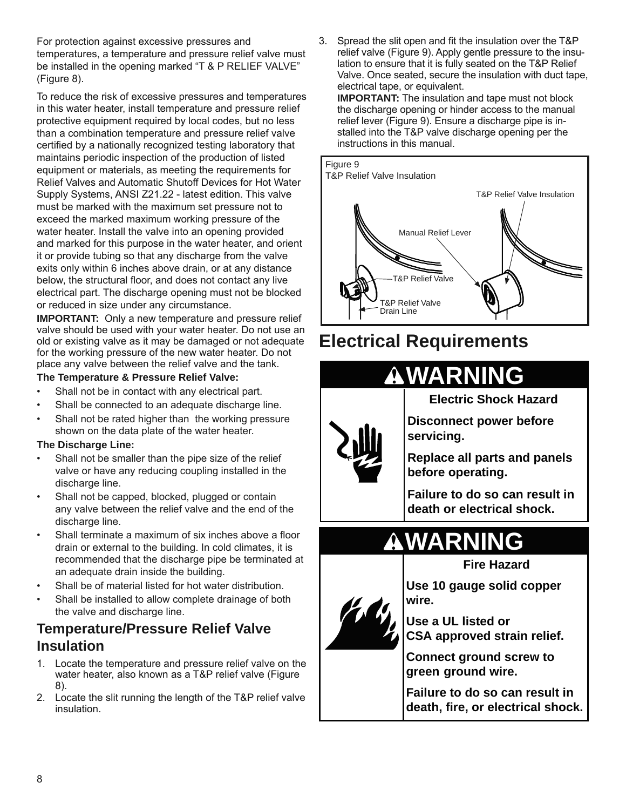For protection against excessive pressures and temperatures, a temperature and pressure relief valve must be installed in the opening marked "T & P RELIEF VALVE" (Figure 8).

To reduce the risk of excessive pressures and temperatures in this water heater, install temperature and pressure relief protective equipment required by local codes, but no less than a combination temperature and pressure relief valve certified by a nationally recognized testing laboratory that maintains periodic inspection of the production of listed equipment or materials, as meeting the requirements for Relief Valves and Automatic Shutoff Devices for Hot Water Supply Systems, ANSI Z21.22 - latest edition. This valve must be marked with the maximum set pressure not to exceed the marked maximum working pressure of the water heater. Install the valve into an opening provided and marked for this purpose in the water heater, and orient it or provide tubing so that any discharge from the valve exits only within 6 inches above drain, or at any distance below, the structural floor, and does not contact any live electrical part. The discharge opening must not be blocked or reduced in size under any circumstance.

**IMPORTANT:** Only a new temperature and pressure relief valve should be used with your water heater. Do not use an old or existing valve as it may be damaged or not adequate for the working pressure of the new water heater. Do not place any valve between the relief valve and the tank.

#### **The Temperature & Pressure Relief Valve:**

- Shall not be in contact with any electrical part.
- Shall be connected to an adequate discharge line.
- Shall not be rated higher than the working pressure shown on the data plate of the water heater.

#### **The Discharge Line:**

- Shall not be smaller than the pipe size of the relief valve or have any reducing coupling installed in the discharge line.
- Shall not be capped, blocked, plugged or contain any valve between the relief valve and the end of the discharge line.
- Shall terminate a maximum of six inches above a floor drain or external to the building. In cold climates, it is recommended that the discharge pipe be terminated at an adequate drain inside the building.
- Shall be of material listed for hot water distribution.
- Shall be installed to allow complete drainage of both the valve and discharge line.

#### **Temperature/Pressure Relief Valve Insulation**

- 1. Locate the temperature and pressure relief valve on the water heater, also known as a T&P relief valve (Figure 8).
- 2. Locate the slit running the length of the T&P relief valve insulation.

3. Spread the slit open and fit the insulation over the T&P relief valve (Figure 9). Apply gentle pressure to the insulation to ensure that it is fully seated on the T&P Relief Valve. Once seated, secure the insulation with duct tape, electrical tape, or equivalent. **IMPORTANT:** The insulation and tape must not block the discharge opening or hinder access to the manual relief lever (Figure 9). Ensure a discharge pipe is in-



### **Electrical Requirements**



**Electric Shock Hazard**

**WARNING**

**Disconnect power before servicing.**

**Replace all parts and panels before operating.**

**Failure to do so can result in death or electrical shock.**

# **WARN**



 $\boldsymbol{\Lambda}$ 

**Fire Hazard**

**Use 10 gauge solid copper wire.**

**Use a UL listed or CSA approved strain relief.** 

**Connect ground screw to green ground wire.**

**Failure to do so can result in death, fire, or electrical shock.**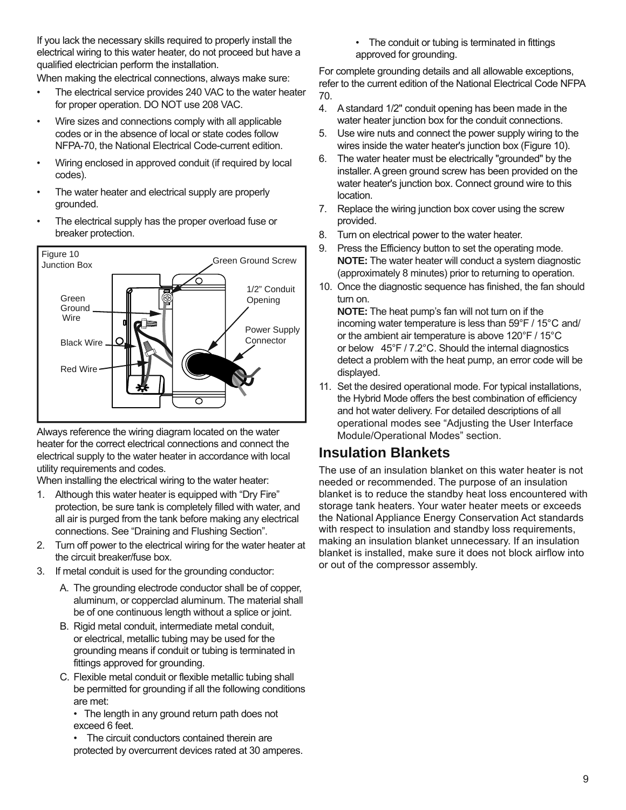If you lack the necessary skills required to properly install the electrical wiring to this water heater, do not proceed but have a qualified electrician perform the installation.

When making the electrical connections, always make sure:

- The electrical service provides 240 VAC to the water heater for proper operation. DO NOT use 208 VAC.
- Wire sizes and connections comply with all applicable codes or in the absence of local or state codes follow NFPA-70, the National Electrical Code-current edition.
- Wiring enclosed in approved conduit (if required by local codes).
- The water heater and electrical supply are properly grounded.
- The electrical supply has the proper overload fuse or breaker protection.



Always reference the wiring diagram located on the water heater for the correct electrical connections and connect the electrical supply to the water heater in accordance with local utility requirements and codes.

When installing the electrical wiring to the water heater:

- 1. Although this water heater is equipped with "Dry Fire" protection, be sure tank is completely filled with water, and all air is purged from the tank before making any electrical connections. See "Draining and Flushing Section".
- 2. Turn off power to the electrical wiring for the water heater at the circuit breaker/fuse box.
- 3. If metal conduit is used for the grounding conductor:
	- A. The grounding electrode conductor shall be of copper, aluminum, or copperclad aluminum. The material shall be of one continuous length without a splice or joint.
	- B. Rigid metal conduit, intermediate metal conduit, or electrical, metallic tubing may be used for the grounding means if conduit or tubing is terminated in fittings approved for grounding.
	- C. Flexible metal conduit or flexible metallic tubing shall be permitted for grounding if all the following conditions are met:

• The length in any ground return path does not exceed 6 feet.

The circuit conductors contained therein are protected by overcurrent devices rated at 30 amperes. • The conduit or tubing is terminated in fittings approved for grounding.

For complete grounding details and all allowable exceptions, refer to the current edition of the National Electrical Code NFPA 70.

- 4. A standard 1/2" conduit opening has been made in the water heater junction box for the conduit connections.
- 5. Use wire nuts and connect the power supply wiring to the wires inside the water heater's junction box (Figure 10).
- 6. The water heater must be electrically "grounded" by the installer. A green ground screw has been provided on the water heater's junction box. Connect ground wire to this location.
- 7. Replace the wiring junction box cover using the screw provided.
- 8. Turn on electrical power to the water heater.
- 9. Press the Efficiency button to set the operating mode. **NOTE:** The water heater will conduct a system diagnostic (approximately 8 minutes) prior to returning to operation.
- 10. Once the diagnostic sequence has finished, the fan should turn on.

**NOTE:** The heat pump's fan will not turn on if the incoming water temperature is less than 59°F / 15°C and/ or the ambient air temperature is above 120°F / 15°C or below 45°F / 7.2°C. Should the internal diagnostics detect a problem with the heat pump, an error code will be displayed.

11. Set the desired operational mode. For typical installations, the Hybrid Mode offers the best combination of efficiency and hot water delivery. For detailed descriptions of all operational modes see "Adjusting the User Interface Module/Operational Modes" section.

#### **Insulation Blankets**

The use of an insulation blanket on this water heater is not needed or recommended. The purpose of an insulation blanket is to reduce the standby heat loss encountered with storage tank heaters. Your water heater meets or exceeds the National Appliance Energy Conservation Act standards with respect to insulation and standby loss requirements, making an insulation blanket unnecessary. If an insulation blanket is installed, make sure it does not block airflow into or out of the compressor assembly.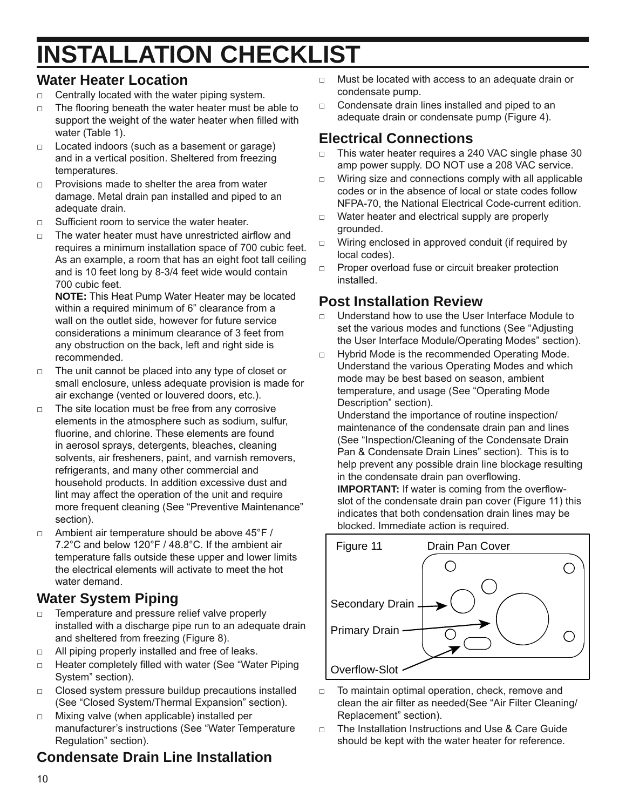# **INSTALLATION CHECKLIST**

#### **Water Heater Location**

- $\Box$  Centrally located with the water piping system.
- $\Box$  The flooring beneath the water heater must be able to support the weight of the water heater when filled with water (Table 1).
- $\Box$  Located indoors (such as a basement or garage) and in a vertical position. Sheltered from freezing temperatures.
- $\nabla$  Provisions made to shelter the area from water damage. Metal drain pan installed and piped to an adequate drain.
- $\nabla$  Sufficient room to service the water heater.
- $\nabla$  The water heater must have unrestricted airflow and requires a minimum installation space of 700 cubic feet. As an example, a room that has an eight foot tall ceiling and is 10 feet long by 8-3/4 feet wide would contain 700 cubic feet.

**NOTE:** This Heat Pump Water Heater may be located within a required minimum of 6" clearance from a wall on the outlet side, however for future service considerations a minimum clearance of 3 feet from any obstruction on the back, left and right side is recommended.

- □ The unit cannot be placed into any type of closet or small enclosure, unless adequate provision is made for air exchange (vented or louvered doors, etc.).
- □ The site location must be free from any corrosive elements in the atmosphere such as sodium, sulfur, fluorine, and chlorine. These elements are found in aerosol sprays, detergents, bleaches, cleaning solvents, air fresheners, paint, and varnish removers, refrigerants, and many other commercial and household products. In addition excessive dust and lint may affect the operation of the unit and require more frequent cleaning (See "Preventive Maintenance" section).
- $\Box$  Ambient air temperature should be above 45°F / 7.2°C and below 120°F / 48.8°C. If the ambient air temperature falls outside these upper and lower limits the electrical elements will activate to meet the hot water demand.

#### **Water System Piping**

- □ Temperature and pressure relief valve properly installed with a discharge pipe run to an adequate drain and sheltered from freezing (Figure 8).
- □ All piping properly installed and free of leaks.
- □ Heater completely filled with water (See "Water Piping System" section).
- □ Closed system pressure buildup precautions installed (See "Closed System/Thermal Expansion" section).
- □ Mixing valve (when applicable) installed per manufacturer's instructions (See "Water Temperature Regulation" section).

### **Condensate Drain Line Installation**

- □ Must be located with access to an adequate drain or condensate pump.
- $\Box$  Condensate drain lines installed and piped to an adequate drain or condensate pump (Figure 4).

#### **Electrical Connections**

- □ This water heater requires a 240 VAC single phase 30 amp power supply. DO NOT use a 208 VAC service.
- □ Wiring size and connections comply with all applicable codes or in the absence of local or state codes follow NFPA-70, the National Electrical Code-current edition.
- □ Water heater and electrical supply are properly grounded.
- □ Wiring enclosed in approved conduit (if required by local codes).
- □ Proper overload fuse or circuit breaker protection installed.

#### **Post Installation Review**

- □ Understand how to use the User Interface Module to set the various modes and functions (See "Adjusting the User Interface Module/Operating Modes" section).
- □ Hybrid Mode is the recommended Operating Mode. Understand the various Operating Modes and which mode may be best based on season, ambient temperature, and usage (See "Operating Mode Description" section).

Understand the importance of routine inspection/ maintenance of the condensate drain pan and lines (See "Inspection/Cleaning of the Condensate Drain Pan & Condensate Drain Lines" section). This is to help prevent any possible drain line blockage resulting in the condensate drain pan overflowing.

**IMPORTANT:** If water is coming from the overflowslot of the condensate drain pan cover (Figure 11) this indicates that both condensation drain lines may be blocked. Immediate action is required.



- □ To maintain optimal operation, check, remove and clean the air filter as needed(See "Air Filter Cleaning/ Replacement" section).
- □ The Installation Instructions and Use & Care Guide should be kept with the water heater for reference.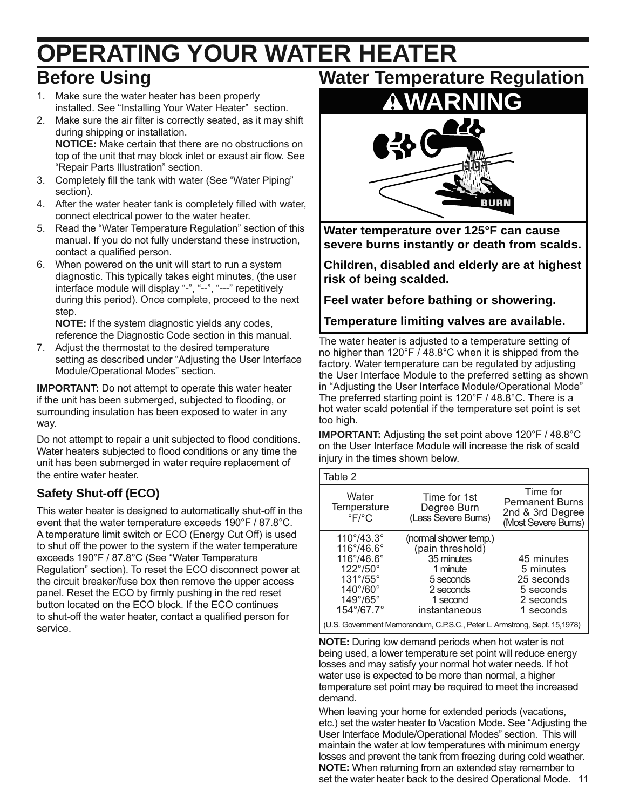# **OPERATING YOUR WATER HEATER Before Using**

- 1. Make sure the water heater has been properly installed. See "Installing Your Water Heater" section.
- 2. Make sure the air filter is correctly seated, as it may shift during shipping or installation. **NOTICE:** Make certain that there are no obstructions on top of the unit that may block inlet or exaust air flow. See "Repair Parts Illustration" section.
- 3. Completely fill the tank with water (See "Water Piping" section).
- 4. After the water heater tank is completely filled with water, connect electrical power to the water heater.
- 5. Read the "Water Temperature Regulation" section of this manual. If you do not fully understand these instruction, contact a qualified person.
- 6. When powered on the unit will start to run a system diagnostic. This typically takes eight minutes, (the user interface module will display "-", "--", "---" repetitively during this period). Once complete, proceed to the next step.

**NOTE:** If the system diagnostic yields any codes, reference the Diagnostic Code section in this manual.

7. Adjust the thermostat to the desired temperature setting as described under "Adjusting the User Interface Module/Operational Modes" section.

**IMPORTANT:** Do not attempt to operate this water heater if the unit has been submerged, subjected to flooding, or surrounding insulation has been exposed to water in any way.

Do not attempt to repair a unit subjected to flood conditions. Water heaters subjected to flood conditions or any time the unit has been submerged in water require replacement of the entire water heater.

#### **Safety Shut-off (ECO)**

This water heater is designed to automatically shut-off in the event that the water temperature exceeds 190°F / 87.8°C. A temperature limit switch or ECO (Energy Cut Off) is used to shut off the power to the system if the water temperature exceeds 190°F / 87.8°C (See "Water Temperature Regulation" section). To reset the ECO disconnect power at the circuit breaker/fuse box then remove the upper access panel. Reset the ECO by firmly pushing in the red reset button located on the ECO block. If the ECO continues to shut-off the water heater, contact a qualified person for service.

**Water Temperature Regulation**



**Water temperature over 125°F can cause severe burns instantly or death from scalds.**

**Children, disabled and elderly are at highest risk of being scalded.**

**Feel water before bathing or showering.**

**Temperature limiting valves are available.**

The water heater is adjusted to a temperature setting of no higher than 120°F / 48.8°C when it is shipped from the factory. Water temperature can be regulated by adjusting the User Interface Module to the preferred setting as shown in "Adjusting the User Interface Module/Operational Mode" The preferred starting point is 120°F / 48.8°C. There is a hot water scald potential if the temperature set point is set too high.

**IMPORTANT:** Adjusting the set point above 120°F / 48.8°C on the User Interface Module will increase the risk of scald injury in the times shown below.

| Table 2                                                                                                                                                                                                      |                                                                                                                            |                                                                               |
|--------------------------------------------------------------------------------------------------------------------------------------------------------------------------------------------------------------|----------------------------------------------------------------------------------------------------------------------------|-------------------------------------------------------------------------------|
| Water<br>Temperature<br>$\mathrm{P}F/\mathrm{P}C$                                                                                                                                                            | Time for 1st<br>Degree Burn<br>(Less Ševere Bums)                                                                          | Time for<br><b>Permanent Burns</b><br>2nd & 3rd Degree<br>(Most Severe Burns) |
| $110^{\circ}/43.3^{\circ}$<br>$116^\circ/46.6^\circ$<br>$116^{\circ}/46.6^{\circ}$<br>$122^{\circ}/50^{\circ}$<br>$131^\circ/55^\circ$<br>$140^{\circ}/60^{\circ}$<br>$149^{\circ}/65^{\circ}$<br>154°/67.7° | (normal shower temp.)<br>(pain threshold)<br>35 minutes<br>1 minute<br>5 seconds<br>2 seconds<br>1 second<br>instantaneous | 45 minutes<br>5 minutes<br>25 seconds<br>5 seconds<br>2 seconds<br>1 seconds  |
| (U.S. Government Memorandum, C.P.S.C., Peter L. Armstrong, Sept. 15,1978)                                                                                                                                    |                                                                                                                            |                                                                               |

**NOTE:** During low demand periods when hot water is not being used, a lower temperature set point will reduce energy losses and may satisfy your normal hot water needs. If hot water use is expected to be more than normal, a higher temperature set point may be required to meet the increased demand.

set the water heater back to the desired Operational Mode. 11 When leaving your home for extended periods (vacations, etc.) set the water heater to Vacation Mode. See "Adjusting the User Interface Module/Operational Modes" section. This will maintain the water at low temperatures with minimum energy losses and prevent the tank from freezing during cold weather. **NOTE:** When returning from an extended stay remember to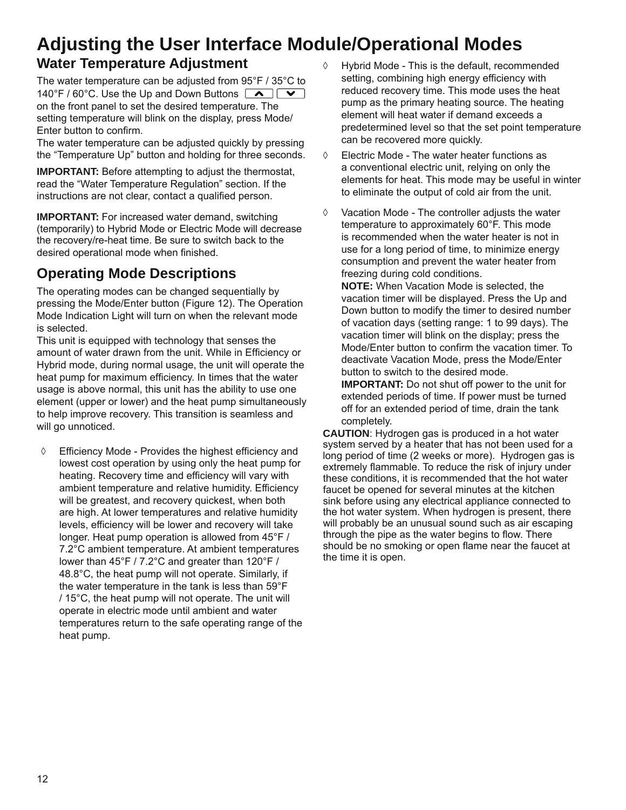### **Adjusting the User Interface Module/Operational Modes**

#### **Water Temperature Adjustment**

The water temperature can be adjusted from 95°F / 35°C to 140°F / 60°C. Use the Up and Down Buttons  $\Box \rightarrow \Box$ on the front panel to set the desired temperature. The setting temperature will blink on the display, press Mode/ Enter button to confirm.

The water temperature can be adjusted quickly by pressing the "Temperature Up" button and holding for three seconds.

**IMPORTANT:** Before attempting to adjust the thermostat, read the "Water Temperature Regulation" section. If the instructions are not clear, contact a qualified person.

**IMPORTANT:** For increased water demand, switching (temporarily) to Hybrid Mode or Electric Mode will decrease the recovery/re-heat time. Be sure to switch back to the desired operational mode when finished.

#### **Operating Mode Descriptions**

The operating modes can be changed sequentially by pressing the Mode/Enter button (Figure 12). The Operation Mode Indication Light will turn on when the relevant mode is selected.

This unit is equipped with technology that senses the amount of water drawn from the unit. While in Efficiency or Hybrid mode, during normal usage, the unit will operate the heat pump for maximum efficiency. In times that the water usage is above normal, this unit has the ability to use one element (upper or lower) and the heat pump simultaneously to help improve recovery. This transition is seamless and will go unnoticed.

◊ Efficiency Mode - Provides the highest efficiency and lowest cost operation by using only the heat pump for heating. Recovery time and efficiency will vary with ambient temperature and relative humidity. Efficiency will be greatest, and recovery quickest, when both are high. At lower temperatures and relative humidity levels, efficiency will be lower and recovery will take longer. Heat pump operation is allowed from 45°F / 7.2°C ambient temperature. At ambient temperatures lower than 45°F / 7.2°C and greater than 120°F / 48.8°C, the heat pump will not operate. Similarly, if the water temperature in the tank is less than 59°F / 15°C, the heat pump will not operate. The unit will operate in electric mode until ambient and water temperatures return to the safe operating range of the heat pump.

- ◊ Hybrid Mode This is the default, recommended setting, combining high energy efficiency with reduced recovery time. This mode uses the heat pump as the primary heating source. The heating element will heat water if demand exceeds a predetermined level so that the set point temperature can be recovered more quickly.
- ◊ Electric Mode The water heater functions as a conventional electric unit, relying on only the elements for heat. This mode may be useful in winter to eliminate the output of cold air from the unit.
- ◊ Vacation Mode The controller adjusts the water temperature to approximately 60°F. This mode is recommended when the water heater is not in use for a long period of time, to minimize energy consumption and prevent the water heater from freezing during cold conditions.

**NOTE:** When Vacation Mode is selected, the vacation timer will be displayed. Press the Up and Down button to modify the timer to desired number of vacation days (setting range: 1 to 99 days). The vacation timer will blink on the display; press the Mode/Enter button to confirm the vacation timer. To deactivate Vacation Mode, press the Mode/Enter button to switch to the desired mode.

**IMPORTANT:** Do not shut off power to the unit for extended periods of time. If power must be turned off for an extended period of time, drain the tank completely.

**CAUTION**: Hydrogen gas is produced in a hot water system served by a heater that has not been used for a long period of time (2 weeks or more). Hydrogen gas is extremely flammable. To reduce the risk of injury under these conditions, it is recommended that the hot water faucet be opened for several minutes at the kitchen sink before using any electrical appliance connected to the hot water system. When hydrogen is present, there will probably be an unusual sound such as air escaping through the pipe as the water begins to flow. There should be no smoking or open flame near the faucet at the time it is open.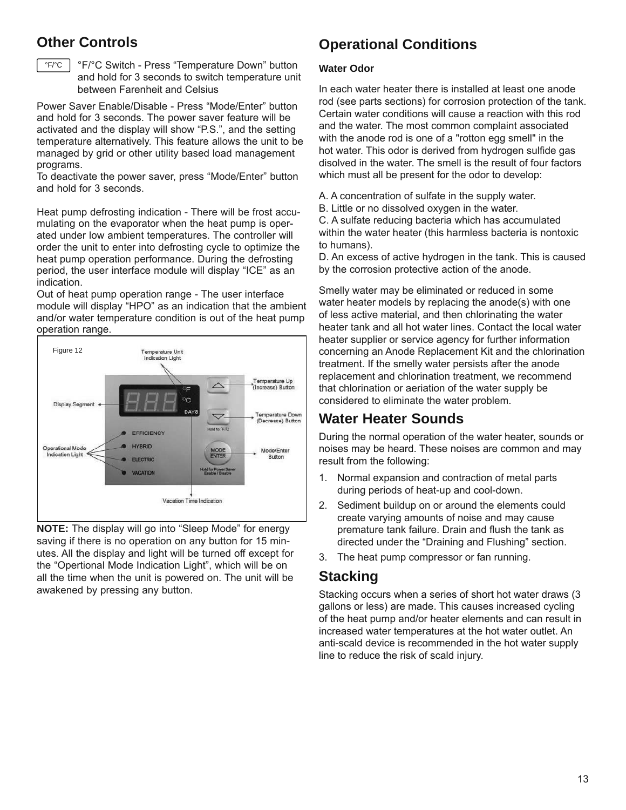#### **Other Controls**



°F/°C °F/°C Switch - Press "Temperature Down" button and hold for 3 seconds to switch temperature unit between Farenheit and Celsius

Power Saver Enable/Disable - Press "Mode/Enter" button and hold for 3 seconds. The power saver feature will be activated and the display will show "P.S.", and the setting temperature alternatively. This feature allows the unit to be managed by grid or other utility based load management programs.

To deactivate the power saver, press "Mode/Enter" button and hold for 3 seconds.

Heat pump defrosting indication - There will be frost accumulating on the evaporator when the heat pump is operated under low ambient temperatures. The controller will order the unit to enter into defrosting cycle to optimize the heat pump operation performance. During the defrosting period, the user interface module will display "ICE" as an indication.

Out of heat pump operation range - The user interface module will display "HPO" as an indication that the ambient and/or water temperature condition is out of the heat pump operation range.



**NOTE:** The display will go into "Sleep Mode" for energy saving if there is no operation on any button for 15 minutes. All the display and light will be turned off except for the "Opertional Mode Indication Light", which will be on all the time when the unit is powered on. The unit will be awakened by pressing any button.

#### **Operational Conditions**

#### **Water Odor**

In each water heater there is installed at least one anode rod (see parts sections) for corrosion protection of the tank. Certain water conditions will cause a reaction with this rod and the water. The most common complaint associated with the anode rod is one of a "rotton egg smell" in the hot water. This odor is derived from hydrogen sulfide gas disolved in the water. The smell is the result of four factors which must all be present for the odor to develop:

- A. A concentration of sulfate in the supply water.
- B. Little or no dissolved oxygen in the water.

C. A sulfate reducing bacteria which has accumulated within the water heater (this harmless bacteria is nontoxic to humans).

D. An excess of active hydrogen in the tank. This is caused by the corrosion protective action of the anode.

Smelly water may be eliminated or reduced in some water heater models by replacing the anode(s) with one of less active material, and then chlorinating the water heater tank and all hot water lines. Contact the local water heater supplier or service agency for further information concerning an Anode Replacement Kit and the chlorination treatment. If the smelly water persists after the anode replacement and chlorination treatment, we recommend that chlorination or aeriation of the water supply be considered to eliminate the water problem.

#### **Water Heater Sounds**

During the normal operation of the water heater, sounds or noises may be heard. These noises are common and may result from the following:

- 1. Normal expansion and contraction of metal parts during periods of heat-up and cool-down.
- 2. Sediment buildup on or around the elements could create varying amounts of noise and may cause premature tank failure. Drain and flush the tank as directed under the "Draining and Flushing" section.
- 3. The heat pump compressor or fan running.

#### **Stacking**

Stacking occurs when a series of short hot water draws (3 gallons or less) are made. This causes increased cycling of the heat pump and/or heater elements and can result in increased water temperatures at the hot water outlet. An anti-scald device is recommended in the hot water supply line to reduce the risk of scald injury.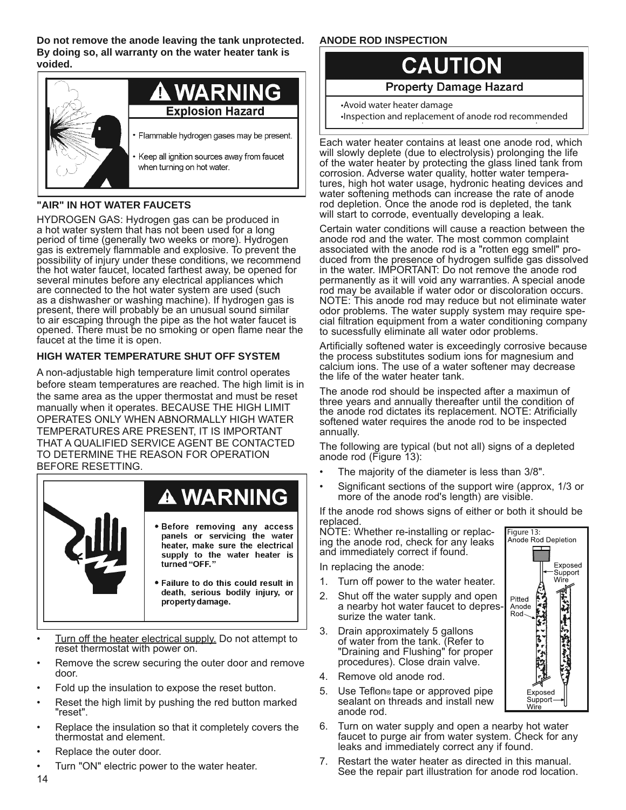**Do not remove the anode leaving the tank unprotected. By doing so, all warranty on the water heater tank is voided.**



#### **"AIR" IN HOT WATER FAUCETS**

HYDROGEN GAS: Hydrogen gas can be produced in a hot water system that has not been used for a long period of time (generally two weeks or more). Hydrogen gas is extremely flammable and explosive. To prevent the possibility of injury under these conditions, we recommend the hot water faucet, located farthest away, be opened for several minutes before any electrical appliances which are connected to the hot water system are used (such as a dishwasher or washing machine). If hydrogen gas is present, there will probably be an unusual sound similar to air escaping through the pipe as the hot water faucet is opened. There must be no smoking or open flame near the faucet at the time it is open.

#### **HIGH WATER TEMPERATURE SHUT OFF SYSTEM**

A non-adjustable high temperature limit control operates before steam temperatures are reached. The high limit is in the same area as the upper thermostat and must be reset manually when it operates. BECAUSE THE HIGH LIMIT OPERATES ONLY WHEN ABNORMALLY HIGH WATER TEMPERATURES ARE PRESENT, IT IS IMPORTANT THAT A QUALIFIED SERVICE AGENT BE CONTACTED TO DETERMINE THE REASON FOR OPERATION BEFORE RESETTING.



- Turn off the heater electrical supply. Do not attempt to reset thermostat with power on.
- Remove the screw securing the outer door and remove door.
- Fold up the insulation to expose the reset button.
- Reset the high limit by pushing the red button marked "reset".
- Replace the insulation so that it completely covers the thermostat and element.
- Replace the outer door.
- Turn "ON" electric power to the water heater.

#### **ANODE ROD INSPECTION**



**Property Damage Hazard** 

Inspection and replacement of anode rod recommended \*Avoid water heater damage

Each water heater contains at least one anode rod, which will slowly deplete (due to electrolysis) prolonging the life of the water heater by protecting the glass lined tank from corrosion. Adverse water quality, hotter water temperatures, high hot water usage, hydronic heating devices and water softening methods can increase the rate of anode rod depletion. Once the anode rod is depleted, the tank will start to corrode, eventually developing a leak.

Certain water conditions will cause a reaction between the anode rod and the water. The most common complaint associated with the anode rod is a "rotten egg smell" produced from the presence of hydrogen sulfide gas dissolved in the water. IMPORTANT: Do not remove the anode rod permanently as it will void any warranties. A special anode rod may be available if water odor or discoloration occurs. NOTE: This anode rod may reduce but not eliminate water odor problems. The water supply system may require special filtration equipment from a water conditioning company to sucessfully eliminate all water odor problems.

Artificially softened water is exceedingly corrosive because the process substitutes sodium ions for magnesium and calcium ions. The use of a water softener may decrease the life of the water heater tank.

The anode rod should be inspected after a maximun of three years and annually thereafter until the condition of the anode rod dictates its replacement. NOTE: Atrificially softened water requires the anode rod to be inspected annually.

The following are typical (but not all) signs of a depleted anode rod (Figure 13):

- The majority of the diameter is less than 3/8".
- Significant sections of the support wire (approx, 1/3 or more of the anode rod's length) are visible.

If the anode rod shows signs of either or both it should be replaced.

Figure 13:<br>Anode Rod Depletion

**CALLED** 

Exposed Support Wir

Pitted

Anode<br>Rod

Exposed Support Wire

NOTE: Whether re-installing or replacing the anode rod, check for any leaks and immediately correct if found.

In replacing the anode:

- 1. Turn off power to the water heater.
- 2. Shut off the water supply and open a nearby hot water faucet to depressurize the water tank.
- 3. Drain approximately 5 gallons of water from the tank. (Refer to "Draining and Flushing" for proper procedures). Close drain valve.
- 4. Remove old anode rod.
- 5. Use Teflon® tape or approved pipe sealant on threads and install new anode rod.
- 6. Turn on water supply and open a nearby hot water faucet to purge air from water system. Check for any leaks and immediately correct any if found.
- 7. Restart the water heater as directed in this manual. See the repair part illustration for anode rod location.

14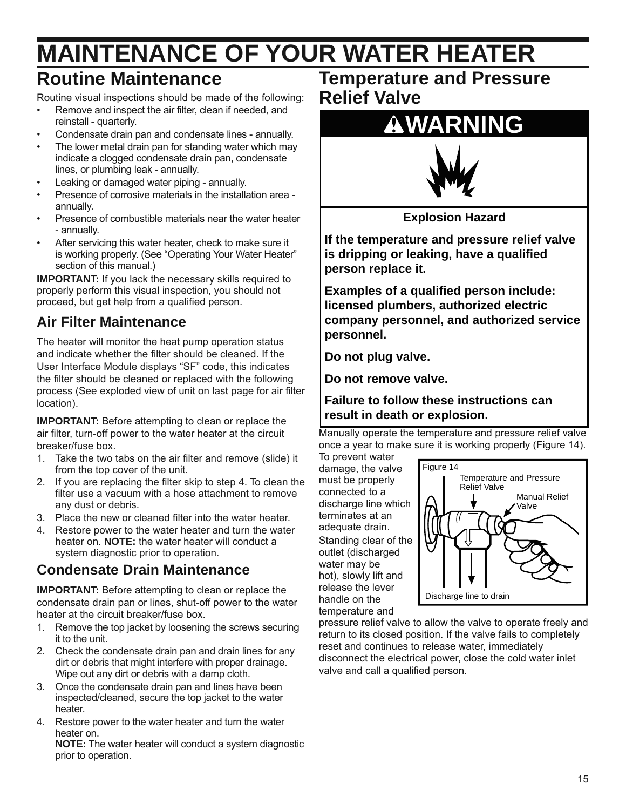# **MAINTENANCE OF YOUR WATER HEATER**

### **Routine Maintenance**

Routine visual inspections should be made of the following:

- Remove and inspect the air filter, clean if needed, and reinstall - quarterly.
- Condensate drain pan and condensate lines annually.
- The lower metal drain pan for standing water which may indicate a clogged condensate drain pan, condensate lines, or plumbing leak - annually.
- Leaking or damaged water piping annually.
- Presence of corrosive materials in the installation area annually.
- Presence of combustible materials near the water heater - annually.
- After servicing this water heater, check to make sure it is working properly. (See "Operating Your Water Heater" section of this manual.)

**IMPORTANT:** If you lack the necessary skills required to properly perform this visual inspection, you should not proceed, but get help from a qualified person.

### **Air Filter Maintenance**

The heater will monitor the heat pump operation status and indicate whether the filter should be cleaned. If the User Interface Module displays "SF" code, this indicates the filter should be cleaned or replaced with the following process (See exploded view of unit on last page for air filter location).

**IMPORTANT:** Before attempting to clean or replace the air filter, turn-off power to the water heater at the circuit breaker/fuse box.

- 1. Take the two tabs on the air filter and remove (slide) it from the top cover of the unit.
- 2. If you are replacing the filter skip to step 4. To clean the filter use a vacuum with a hose attachment to remove any dust or debris.
- 3. Place the new or cleaned filter into the water heater.
- 4. Restore power to the water heater and turn the water heater on. **NOTE:** the water heater will conduct a system diagnostic prior to operation.

#### **Condensate Drain Maintenance**

**IMPORTANT:** Before attempting to clean or replace the condensate drain pan or lines, shut-off power to the water heater at the circuit breaker/fuse box.

- 1. Remove the top jacket by loosening the screws securing it to the unit.
- 2. Check the condensate drain pan and drain lines for any dirt or debris that might interfere with proper drainage. Wipe out any dirt or debris with a damp cloth.
- 3. Once the condensate drain pan and lines have been inspected/cleaned, secure the top jacket to the water heater.
- 4. Restore power to the water heater and turn the water heater on.

**NOTE:** The water heater will conduct a system diagnostic prior to operation.

### **Temperature and Pressure Relief Valve**

# **WARNING**



**Explosion Hazard**

**If the temperature and pressure relief valve is dripping or leaking, have a qualified person replace it.**

**Examples of a qualified person include: licensed plumbers, authorized electric company personnel, and authorized service personnel.**

**Do not plug valve.**

**Do not remove valve.**

**Failure to follow these instructions can result in death or explosion.**

Manually operate the temperature and pressure relief valve once a year to make sure it is working properly (Figure 14).

To prevent water damage, the valve must be properly connected to a discharge line which terminates at an adequate drain. Standing clear of the outlet (discharged water may be hot), slowly lift and release the lever handle on the temperature and



pressure relief valve to allow the valve to operate freely and return to its closed position. If the valve fails to completely reset and continues to release water, immediately disconnect the electrical power, close the cold water inlet valve and call a qualified person.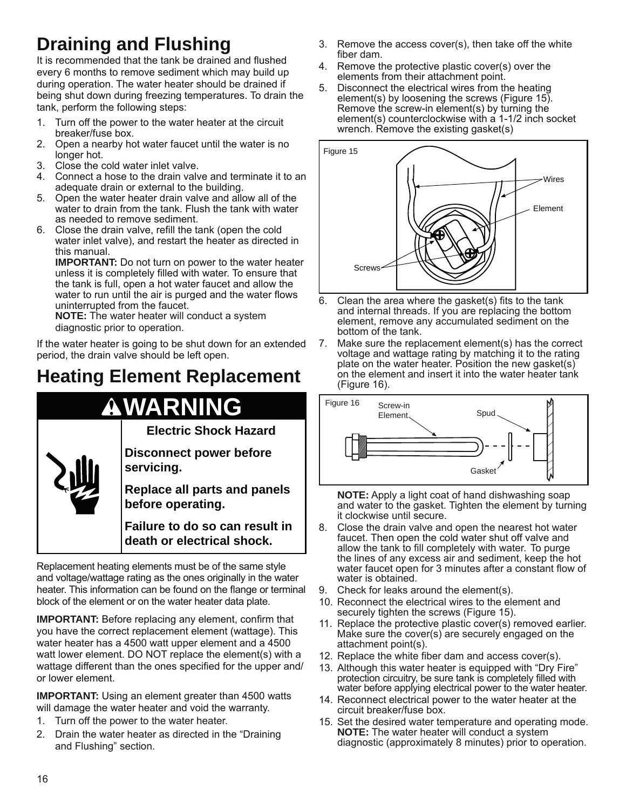# **Draining and Flushing**

It is recommended that the tank be drained and flushed every 6 months to remove sediment which may build up during operation. The water heater should be drained if being shut down during freezing temperatures. To drain the tank, perform the following steps:

- 1. Turn off the power to the water heater at the circuit breaker/fuse box.
- 2. Open a nearby hot water faucet until the water is no longer hot.
- 3. Close the cold water inlet valve.
- 4. Connect a hose to the drain valve and terminate it to an adequate drain or external to the building.
- 5. Open the water heater drain valve and allow all of the water to drain from the tank. Flush the tank with water as needed to remove sediment.
- 6. Close the drain valve, refill the tank (open the cold water inlet valve), and restart the heater as directed in this manual.

**IMPORTANT:** Do not turn on power to the water heater unless it is completely filled with water. To ensure that the tank is full, open a hot water faucet and allow the water to run until the air is purged and the water flows uninterrupted from the faucet.

**NOTE:** The water heater will conduct a system diagnostic prior to operation.

If the water heater is going to be shut down for an extended period, the drain valve should be left open.

# **Heating Element Replacement**

# **WARNING**

**Electric Shock Hazard**

**Disconnect power before servicing.**

**Replace all parts and panels before operating.**

**Failure to do so can result in death or electrical shock.**

Replacement heating elements must be of the same style and voltage/wattage rating as the ones originally in the water heater. This information can be found on the flange or terminal block of the element or on the water heater data plate.

**IMPORTANT:** Before replacing any element, confirm that you have the correct replacement element (wattage). This water heater has a 4500 watt upper element and a 4500 watt lower element. DO NOT replace the element(s) with a wattage different than the ones specified for the upper and/ or lower element.

**IMPORTANT:** Using an element greater than 4500 watts will damage the water heater and void the warranty.

- 1. Turn off the power to the water heater.
- 2. Drain the water heater as directed in the "Draining and Flushing" section.
- 3. Remove the access cover(s), then take off the white fiber dam.
- 4. Remove the protective plastic cover(s) over the elements from their attachment point.
- 5. Disconnect the electrical wires from the heating element(s) by loosening the screws (Figure 15). Remove the screw-in element(s) by turning the element(s) counterclockwise with a 1-1/2 inch socket wrench. Remove the existing gasket(s)



- 6. Clean the area where the gasket(s) fits to the tank and internal threads. If you are replacing the bottom element, remove any accumulated sediment on the bottom of the tank.
- 7. Make sure the replacement element(s) has the correct voltage and wattage rating by matching it to the rating plate on the water heater. Position the new gasket(s) on the element and insert it into the water heater tank (Figure 16).



**NOTE:** Apply a light coat of hand dishwashing soap and water to the gasket. Tighten the element by turning it clockwise until secure.

- 8. Close the drain valve and open the nearest hot water faucet. Then open the cold water shut off valve and allow the tank to fill completely with water. To purge the lines of any excess air and sediment, keep the hot water faucet open for 3 minutes after a constant flow of water is obtained.
- 9. Check for leaks around the element(s).
- 10. Reconnect the electrical wires to the element and securely tighten the screws (Figure 15).
- 11. Replace the protective plastic cover(s) removed earlier. Make sure the cover(s) are securely engaged on the attachment point(s).
- 12. Replace the white fiber dam and access cover(s).
- 13. Although this water heater is equipped with "Dry Fire" protection circuitry, be sure tank is completely filled with water before applying electrical power to the water heater.
- 14. Reconnect electrical power to the water heater at the circuit breaker/fuse box.
- 15. Set the desired water temperature and operating mode. **NOTE:** The water heater will conduct a system diagnostic (approximately 8 minutes) prior to operation.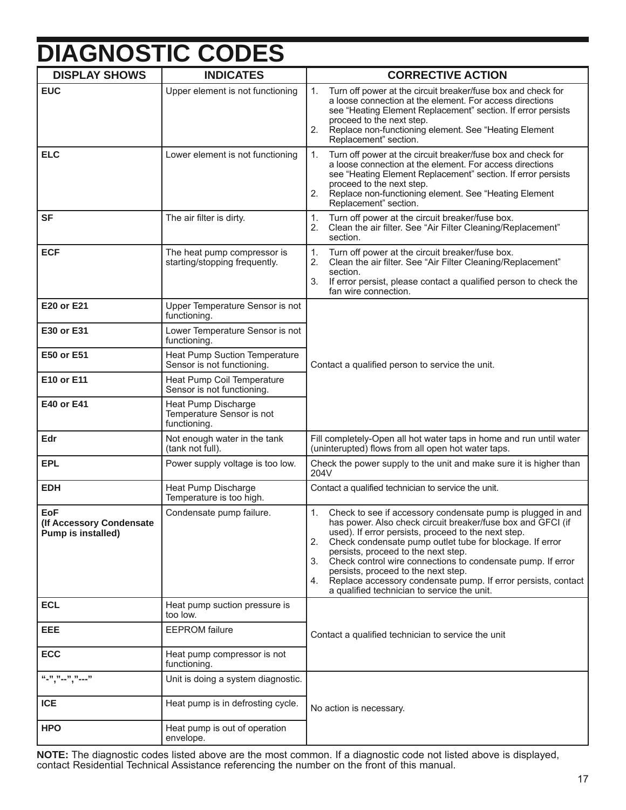# **DIAGNOSTIC CODES**

| <b>DISPLAY SHOWS</b>                                         | <b>INDICATES</b>                                                 | <b>CORRECTIVE ACTION</b>                                                                                                                                                                                                                                                                                                                                                                                                                                                                                                           |  |
|--------------------------------------------------------------|------------------------------------------------------------------|------------------------------------------------------------------------------------------------------------------------------------------------------------------------------------------------------------------------------------------------------------------------------------------------------------------------------------------------------------------------------------------------------------------------------------------------------------------------------------------------------------------------------------|--|
| <b>EUC</b>                                                   | Upper element is not functioning                                 | Turn off power at the circuit breaker/fuse box and check for<br>1.<br>a loose connection at the element. For access directions<br>see "Heating Element Replacement" section. If error persists<br>proceed to the next step.<br>Replace non-functioning element. See "Heating Element<br>2.<br>Replacement" section.                                                                                                                                                                                                                |  |
| <b>ELC</b>                                                   | Lower element is not functioning                                 | 1.<br>Turn off power at the circuit breaker/fuse box and check for<br>a loose connection at the element. For access directions<br>see "Heating Element Replacement" section. If error persists<br>proceed to the next step.<br>Replace non-functioning element. See "Heating Element<br>2.<br>Replacement" section.                                                                                                                                                                                                                |  |
| <b>SF</b>                                                    | The air filter is dirty.                                         | Turn off power at the circuit breaker/fuse box.<br>1.<br>Clean the air filter. See "Air Filter Cleaning/Replacement"<br>2.<br>section.                                                                                                                                                                                                                                                                                                                                                                                             |  |
| <b>ECF</b>                                                   | The heat pump compressor is<br>starting/stopping frequently.     | 1.<br>Turn off power at the circuit breaker/fuse box.<br>Clean the air filter. See "Air Filter Cleaning/Replacement"<br>2.<br>section.<br>3 <sub>1</sub><br>If error persist, please contact a qualified person to check the<br>fan wire connection.                                                                                                                                                                                                                                                                               |  |
| E20 or E21                                                   | Upper Temperature Sensor is not<br>functioning.                  |                                                                                                                                                                                                                                                                                                                                                                                                                                                                                                                                    |  |
| E30 or E31                                                   | Lower Temperature Sensor is not<br>functioning.                  | Contact a qualified person to service the unit.                                                                                                                                                                                                                                                                                                                                                                                                                                                                                    |  |
| <b>E50 or E51</b>                                            | Heat Pump Suction Temperature<br>Sensor is not functioning.      |                                                                                                                                                                                                                                                                                                                                                                                                                                                                                                                                    |  |
| E10 or E11                                                   | Heat Pump Coil Temperature<br>Sensor is not functioning.         |                                                                                                                                                                                                                                                                                                                                                                                                                                                                                                                                    |  |
| E40 or E41                                                   | Heat Pump Discharge<br>Temperature Sensor is not<br>functioning. |                                                                                                                                                                                                                                                                                                                                                                                                                                                                                                                                    |  |
| Edr                                                          | Not enough water in the tank<br>(tank not full).                 | Fill completely-Open all hot water taps in home and run until water<br>(uninterupted) flows from all open hot water taps.                                                                                                                                                                                                                                                                                                                                                                                                          |  |
| <b>EPL</b>                                                   | Power supply voltage is too low.                                 | Check the power supply to the unit and make sure it is higher than<br>204V                                                                                                                                                                                                                                                                                                                                                                                                                                                         |  |
| <b>EDH</b>                                                   | Heat Pump Discharge<br>Temperature is too high.                  | Contact a qualified technician to service the unit.                                                                                                                                                                                                                                                                                                                                                                                                                                                                                |  |
| <b>EoF</b><br>(If Accessory Condensate<br>Pump is installed) | Condensate pump failure.                                         | 1.<br>Check to see if accessory condensate pump is plugged in and<br>has power. Also check circuit breaker/fuse box and GFCI (if<br>used). If error persists, proceed to the next step.<br>2.<br>Check condensate pump outlet tube for blockage. If error<br>persists, proceed to the next step.<br>Check control wire connections to condensate pump. If error<br>3.<br>persists, proceed to the next step.<br>Replace accessory condensate pump. If error persists, contact<br>4.<br>a qualified technician to service the unit. |  |
| <b>ECL</b>                                                   | Heat pump suction pressure is<br>too low.                        |                                                                                                                                                                                                                                                                                                                                                                                                                                                                                                                                    |  |
| EEE                                                          | <b>EEPROM</b> failure                                            | Contact a qualified technician to service the unit                                                                                                                                                                                                                                                                                                                                                                                                                                                                                 |  |
| <b>ECC</b>                                                   | Heat pump compressor is not<br>functioning.                      |                                                                                                                                                                                                                                                                                                                                                                                                                                                                                                                                    |  |
| $``-", "-", "---"$                                           | Unit is doing a system diagnostic.                               |                                                                                                                                                                                                                                                                                                                                                                                                                                                                                                                                    |  |
| <b>ICE</b>                                                   | Heat pump is in defrosting cycle.                                | No action is necessary.                                                                                                                                                                                                                                                                                                                                                                                                                                                                                                            |  |
| <b>HPO</b>                                                   | Heat pump is out of operation<br>envelope.                       |                                                                                                                                                                                                                                                                                                                                                                                                                                                                                                                                    |  |

**NOTE:** The diagnostic codes listed above are the most common. If a diagnostic code not listed above is displayed, contact Residential Technical Assistance referencing the number on the front of this manual.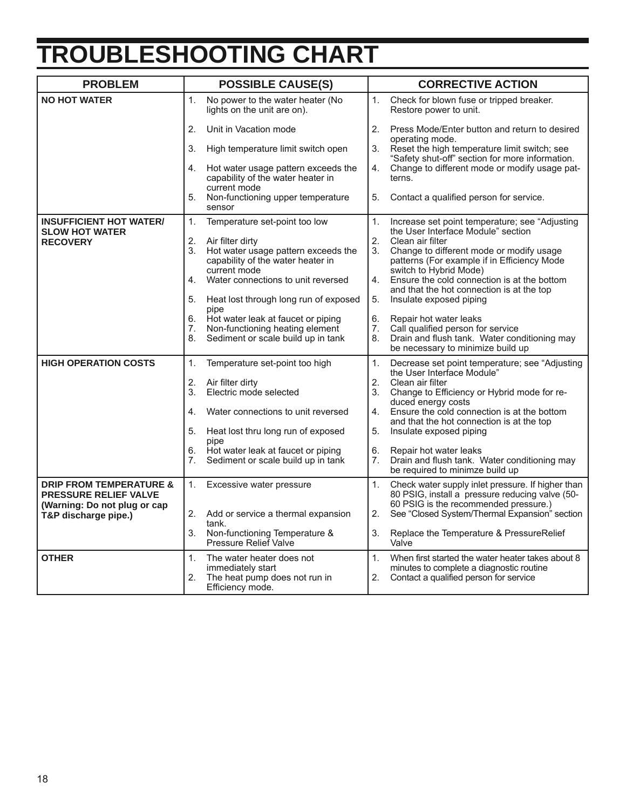# **TROUBLESHOOTING CHART**

| <b>PROBLEM</b>                                                     | <b>POSSIBLE CAUSE(S)</b>                                                                       | <b>CORRECTIVE ACTION</b>                                                                                                                            |
|--------------------------------------------------------------------|------------------------------------------------------------------------------------------------|-----------------------------------------------------------------------------------------------------------------------------------------------------|
| <b>NO HOT WATER</b>                                                | No power to the water heater (No<br>1.<br>lights on the unit are on).                          | Check for blown fuse or tripped breaker.<br>1.<br>Restore power to unit.                                                                            |
|                                                                    | Unit in Vacation mode<br>2.                                                                    | 2.<br>Press Mode/Enter button and return to desired                                                                                                 |
|                                                                    | 3.<br>High temperature limit switch open                                                       | operating mode.<br>3.<br>Reset the high temperature limit switch; see<br>"Safety shut-off" section for more information.                            |
|                                                                    | 4.<br>Hot water usage pattern exceeds the<br>capability of the water heater in<br>current mode | Change to different mode or modify usage pat-<br>4.<br>terns.                                                                                       |
|                                                                    | 5.<br>Non-functioning upper temperature<br>sensor                                              | 5.<br>Contact a qualified person for service.                                                                                                       |
| <b>INSUFFICIENT HOT WATER/</b><br><b>SLOW HOT WATER</b>            | 1.<br>Temperature set-point too low                                                            | 1.<br>Increase set point temperature; see "Adjusting<br>the User Interface Module" section                                                          |
| <b>RECOVERY</b>                                                    | 2.<br>Air filter dirty                                                                         | 2.<br>Clean air filter                                                                                                                              |
|                                                                    | 3.<br>Hot water usage pattern exceeds the<br>capability of the water heater in<br>current mode | 3.<br>Change to different mode or modify usage<br>patterns (For example if in Efficiency Mode<br>switch to Hybrid Mode)                             |
|                                                                    | 4.<br>Water connections to unit reversed                                                       | Ensure the cold connection is at the bottom<br>4.<br>and that the hot connection is at the top                                                      |
|                                                                    | Heat lost through long run of exposed<br>5.<br>pipe                                            | 5.<br>Insulate exposed piping                                                                                                                       |
|                                                                    | Hot water leak at faucet or piping<br>6.                                                       | 6.<br>Repair hot water leaks                                                                                                                        |
|                                                                    | Non-functioning heating element<br>7.                                                          | Call qualified person for service<br>7.                                                                                                             |
|                                                                    | Sediment or scale build up in tank<br>8.                                                       | 8.<br>Drain and flush tank. Water conditioning may<br>be necessary to minimize build up                                                             |
| <b>HIGH OPERATION COSTS</b>                                        | 1.<br>Temperature set-point too high                                                           | 1.<br>Decrease set point temperature; see "Adjusting"<br>the User Interface Module"                                                                 |
|                                                                    | 2.<br>Air filter dirty                                                                         | 2.<br>Clean air filter                                                                                                                              |
|                                                                    | Electric mode selected<br>3.                                                                   | Change to Efficiency or Hybrid mode for re-<br>3.<br>duced energy costs                                                                             |
|                                                                    | 4.<br>Water connections to unit reversed                                                       | Ensure the cold connection is at the bottom<br>4.<br>and that the hot connection is at the top                                                      |
|                                                                    | Heat lost thru long run of exposed<br>5.<br>pipe                                               | 5.<br>Insulate exposed piping                                                                                                                       |
|                                                                    | Hot water leak at faucet or piping<br>6.                                                       | 6.<br>Repair hot water leaks                                                                                                                        |
|                                                                    | 7.<br>Sediment or scale build up in tank                                                       | 7.<br>Drain and flush tank. Water conditioning may<br>be required to minimze build up                                                               |
| <b>DRIP FROM TEMPERATURE &amp;</b><br><b>PRESSURE RELIEF VALVE</b> | 1.<br>Excessive water pressure                                                                 | 1.<br>Check water supply inlet pressure. If higher than<br>80 PSIG, install a pressure reducing valve (50-<br>60 PSIG is the recommended pressure.) |
| (Warning: Do not plug or cap<br>T&P discharge pipe.)               | 2.<br>Add or service a thermal expansion<br>tank.                                              | 2.<br>See "Closed System/Thermal Expansion" section                                                                                                 |
|                                                                    | Non-functioning Temperature &<br>3.<br><b>Pressure Relief Valve</b>                            | 3.<br>Replace the Temperature & PressureRelief<br>Valve                                                                                             |
| <b>OTHER</b>                                                       | 1 <sub>1</sub><br>The water heater does not                                                    | 1 <sub>1</sub><br>When first started the water heater takes about 8                                                                                 |
|                                                                    | immediately start                                                                              | minutes to complete a diagnostic routine                                                                                                            |
|                                                                    | 2.<br>The heat pump does not run in<br>Efficiency mode.                                        | 2.<br>Contact a qualified person for service                                                                                                        |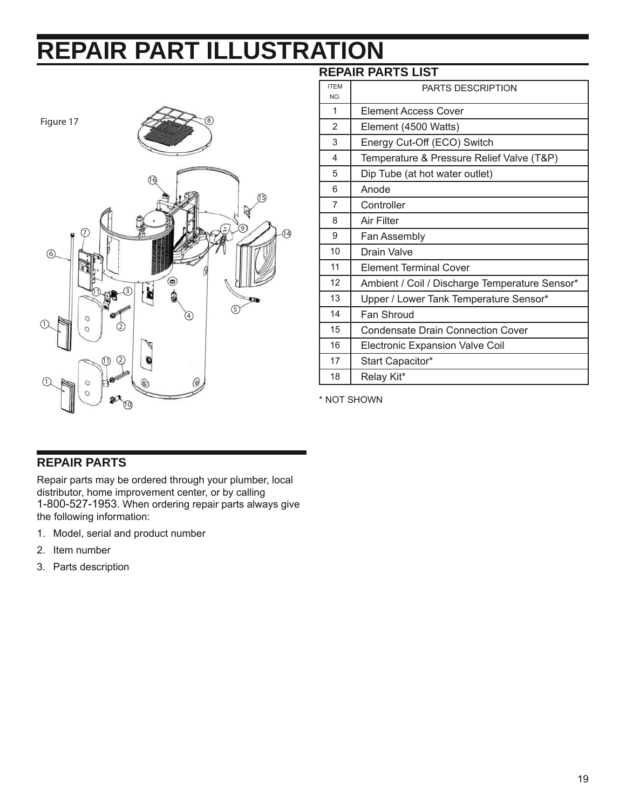# **REPAIR PART ILLUSTRATION**



#### **REPAIR PARTS LIST**

| <b>ITEM</b><br>NO. | <b>PARTS DESCRIPTION</b>                       |
|--------------------|------------------------------------------------|
| 1                  | Element Access Cover                           |
| $\overline{2}$     | Element (4500 Watts)                           |
| 3                  | Energy Cut-Off (ECO) Switch                    |
| 4                  | Temperature & Pressure Relief Valve (T&P)      |
| 5                  | Dip Tube (at hot water outlet)                 |
| 6                  | Anode                                          |
| 7                  | Controller                                     |
| 8                  | Air Filter                                     |
| 9                  | Fan Assembly                                   |
| 10                 | Drain Valve                                    |
| 11                 | <b>Element Terminal Cover</b>                  |
| 12                 | Ambient / Coil / Discharge Temperature Sensor* |
| 13                 | Upper / Lower Tank Temperature Sensor*         |
| 14                 | Fan Shroud                                     |
| 15                 | <b>Condensate Drain Connection Cover</b>       |
| 16                 | <b>Electronic Expansion Valve Coil</b>         |
| 17                 | Start Capacitor*                               |
| 18                 | Relay Kit*                                     |

\* NOT SHOWN

#### **REPAIR PARTS**

Repair parts may be ordered through your plumber, local distributor, home improvement center, or by calling 1-800-527-1953. When ordering repair parts always give the following information:

- 1. Model, serial and product number
- 2. Item number
- 3. Parts description